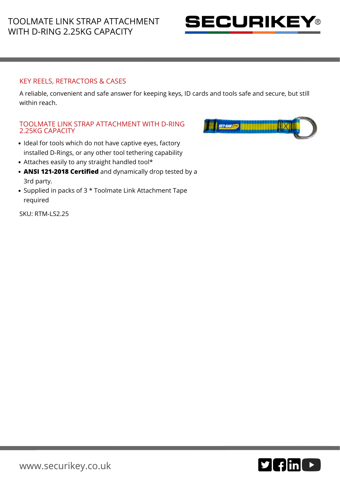

## KEY REELS, RETRACTORS & CASES

A reliable, convenient and safe answer for keeping keys, ID cards and tools safe and secure, but still within reach.

## TOOLMATE LINK STRAP ATTACHMENT WITH D-RING 2.25KG CAPACITY

- Ideal for tools which do not have captive eyes, factory installed D-Rings, or any other tool tethering capability
- Attaches easily to any straight handled tool\*
- **ANSI 121-2018 Certified** and dynamically drop tested by a 3rd party.
- Supplied in packs of 3 \* Toolmate Link Attachment Tape required

SKU: RTM-LS2.25

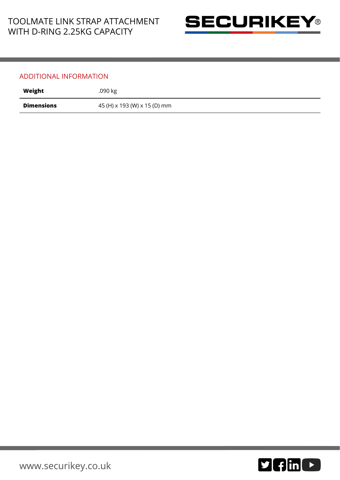

## ADDITIONAL INFORMATION

| Weight            | .090 kg                      |
|-------------------|------------------------------|
| <b>Dimensions</b> | 45 (H) x 193 (W) x 15 (D) mm |

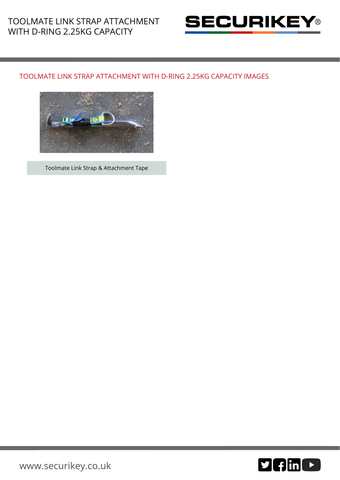

## TOOLMATE LINK STRAP ATTACHMENT WITH D-RING 2.25KG CAPACITY IMAGES



Toolmate Link Strap & Attachment Tape